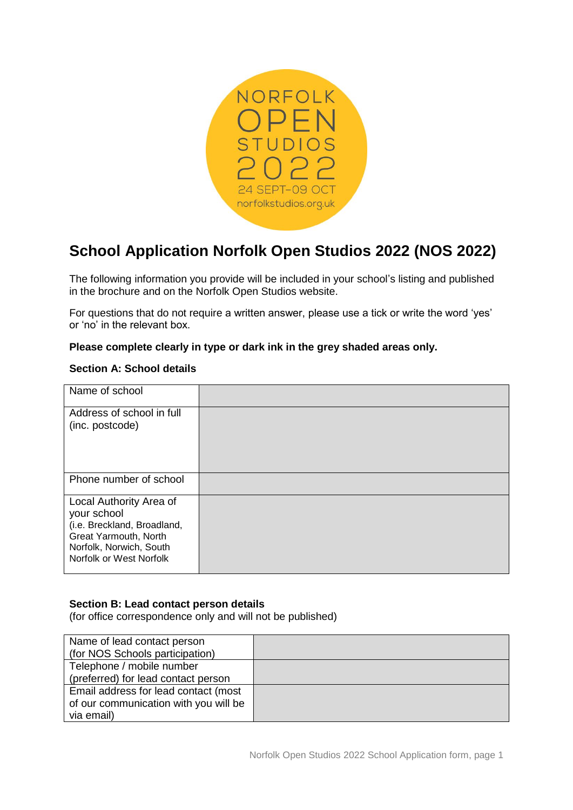

# **School Application Norfolk Open Studios 2022 (NOS 2022)**

The following information you provide will be included in your school's listing and published in the brochure and on the Norfolk Open Studios website.

For questions that do not require a written answer, please use a tick or write the word 'yes' or 'no' in the relevant box.

### **Please complete clearly in type or dark ink in the grey shaded areas only.**

#### **Section A: School details**

| Name of school                                                                                                                                       |  |
|------------------------------------------------------------------------------------------------------------------------------------------------------|--|
| Address of school in full<br>(inc. postcode)                                                                                                         |  |
| Phone number of school                                                                                                                               |  |
| Local Authority Area of<br>your school<br>(i.e. Breckland, Broadland,<br>Great Yarmouth, North<br>Norfolk, Norwich, South<br>Norfolk or West Norfolk |  |

#### **Section B: Lead contact person details**

(for office correspondence only and will not be published)

| Name of lead contact person           |  |
|---------------------------------------|--|
| (for NOS Schools participation)       |  |
| Telephone / mobile number             |  |
| (preferred) for lead contact person   |  |
| Email address for lead contact (most  |  |
| of our communication with you will be |  |
| via email)                            |  |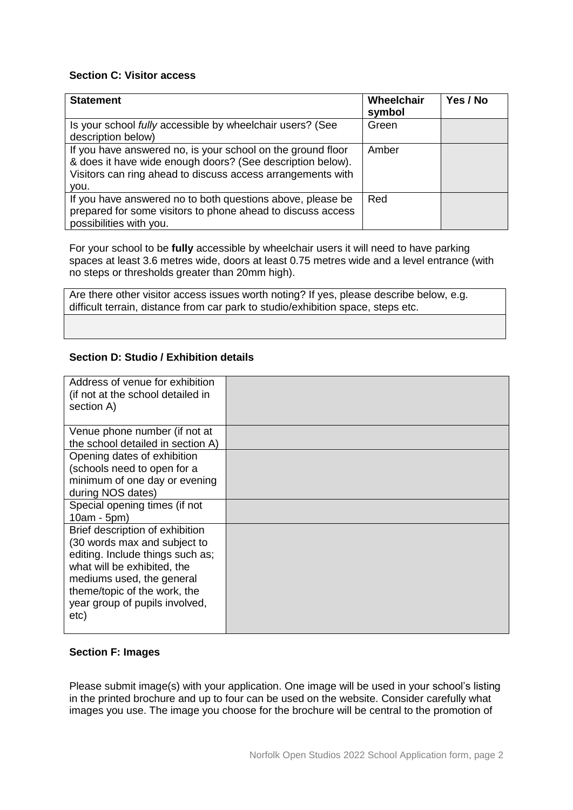## **Section C: Visitor access**

| <b>Statement</b>                                                                                                                                                                                 | Wheelchair<br>symbol | Yes / No |
|--------------------------------------------------------------------------------------------------------------------------------------------------------------------------------------------------|----------------------|----------|
| Is your school fully accessible by wheelchair users? (See<br>description below)                                                                                                                  | Green                |          |
| If you have answered no, is your school on the ground floor<br>& does it have wide enough doors? (See description below).<br>Visitors can ring ahead to discuss access arrangements with<br>vou. | Amber                |          |
| If you have answered no to both questions above, please be<br>prepared for some visitors to phone ahead to discuss access<br>possibilities with you.                                             | Red                  |          |

For your school to be **fully** accessible by wheelchair users it will need to have parking spaces at least 3.6 metres wide, doors at least 0.75 metres wide and a level entrance (with no steps or thresholds greater than 20mm high).

Are there other visitor access issues worth noting? If yes, please describe below, e.g. difficult terrain, distance from car park to studio/exhibition space, steps etc.

### **Section D: Studio / Exhibition details**

| Address of venue for exhibition<br>(if not at the school detailed in<br>section A)                                                                                                                                                        |  |
|-------------------------------------------------------------------------------------------------------------------------------------------------------------------------------------------------------------------------------------------|--|
| Venue phone number (if not at<br>the school detailed in section A)                                                                                                                                                                        |  |
| Opening dates of exhibition<br>(schools need to open for a<br>minimum of one day or evening<br>during NOS dates)                                                                                                                          |  |
| Special opening times (if not<br>10am - 5pm)                                                                                                                                                                                              |  |
| Brief description of exhibition<br>(30 words max and subject to<br>editing. Include things such as;<br>what will be exhibited, the<br>mediums used, the general<br>theme/topic of the work, the<br>year group of pupils involved,<br>etc) |  |

## **Section F: Images**

Please submit image(s) with your application. One image will be used in your school's listing in the printed brochure and up to four can be used on the website. Consider carefully what images you use. The image you choose for the brochure will be central to the promotion of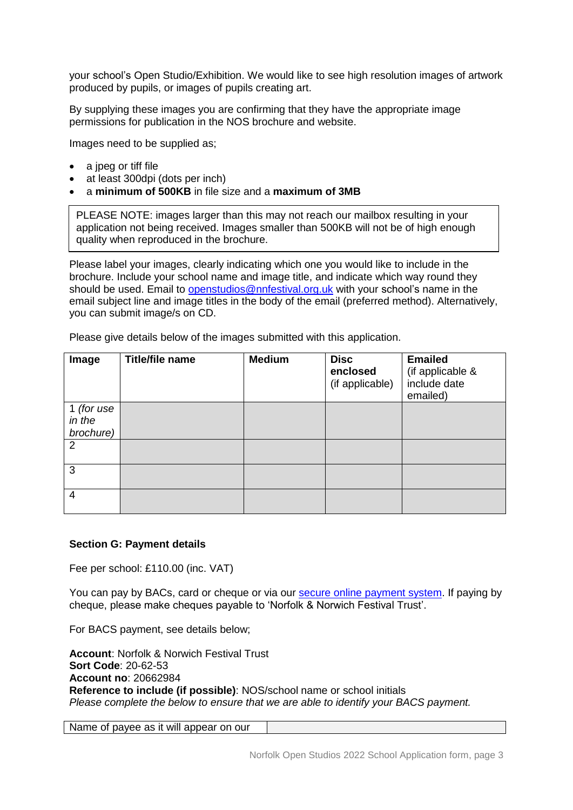your school's Open Studio/Exhibition. We would like to see high resolution images of artwork produced by pupils, or images of pupils creating art.

By supplying these images you are confirming that they have the appropriate image permissions for publication in the NOS brochure and website.

Images need to be supplied as;

- a jpeg or tiff file
- at least 300dpi (dots per inch)
- a **minimum of 500KB** in file size and a **maximum of 3MB**

PLEASE NOTE: images larger than this may not reach our mailbox resulting in your application not being received. Images smaller than 500KB will not be of high enough quality when reproduced in the brochure.

Please label your images, clearly indicating which one you would like to include in the brochure. Include your school name and image title, and indicate which way round they should be used. Email to [openstudios@nnfestival.org.uk](mailto:openstudios@nnfestival.org.uk) with your school's name in the email subject line and image titles in the body of the email (preferred method). Alternatively, you can submit image/s on CD.

| Image                             | <b>Title/file name</b> | <b>Medium</b> | <b>Disc</b><br>enclosed<br>(if applicable) | <b>Emailed</b><br>(if applicable &<br>include date<br>emailed) |
|-----------------------------------|------------------------|---------------|--------------------------------------------|----------------------------------------------------------------|
| 1 (for use<br>in the<br>brochure) |                        |               |                                            |                                                                |
| 2                                 |                        |               |                                            |                                                                |
| 3                                 |                        |               |                                            |                                                                |
| $\overline{4}$                    |                        |               |                                            |                                                                |

Please give details below of the images submitted with this application.

#### **Section G: Payment details**

Fee per school: £110.00 (inc. VAT)

You can pay by BACs, card or cheque or via our [secure online payment system.](https://norfolkstudios.org.uk/memberships/) If paying by cheque, please make cheques payable to 'Norfolk & Norwich Festival Trust'.

For BACS payment, see details below;

**Account**: Norfolk & Norwich Festival Trust **Sort Code**: 20-62-53 **Account no**: 20662984 **Reference to include (if possible)**: NOS/school name or school initials *Please complete the below to ensure that we are able to identify your BACS payment.*

Name of payee as it will appear on our